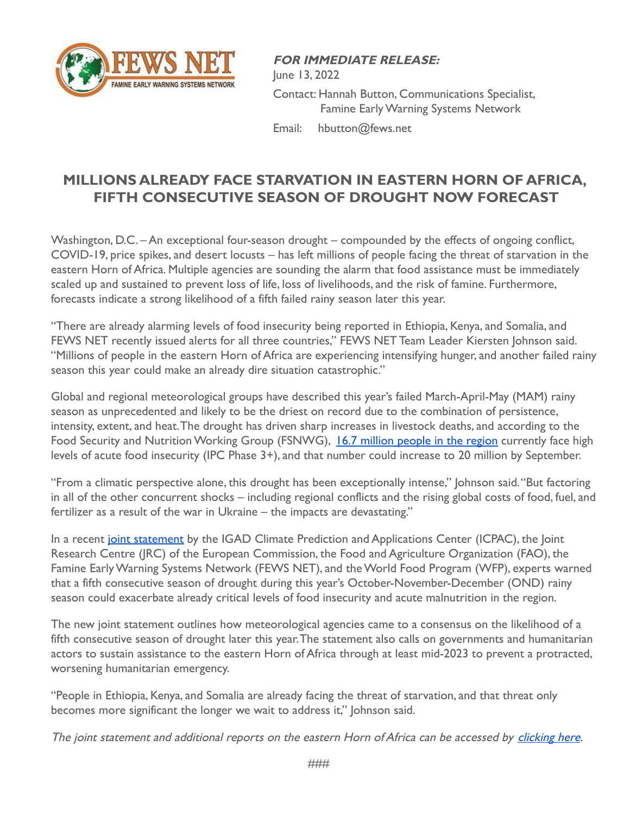

**FOR IMMEDIATE RELEASE:** June 13, 2022 Contact: Hannah Button, Communications Specialist, Famine Early Warning Systems Network Email: hbutton@fews.net

## **MILLIONS ALREADY FACE STARVATION IN EASTERN HORN OF AFRICA, FIFTH CONSECUTIVE SEASON OF DROUGHT NOW FORECAST**

Washington, D.C. – An exceptional four-season drought – compounded by the effects of ongoing conflict, COVID-19, price spikes, and desert locusts – has left millions of people facing the threat of starvation in the eastern Horn of Africa. Multiple agencies are sounding the alarm that food assistance must be immediately scaled up and sustained to prevent loss of life, loss of livelihoods, and the risk of famine. Furthermore, forecasts indicate a strong likelihood of a fifth failed rainy season later this year.

"There are already alarming levels of food insecurity being reported in Ethiopia, Kenya, and Somalia, and FEWS NET recently issued alerts for all three countries," FEWS NET Team Leader Kiersten Johnson said. "Millions of people in the eastern Horn of Africa are experiencing intensifying hunger, and another failed rainy season this year could make an already dire situation catastrophic."

Global and regional meteorological groups have described this year's failed March-April-May (MAM) rainy season as unprecedented and likely to be the driest on record due to the combination of persistence, intensity, extent, and heat.The drought has driven sharp increases in livestock deaths, and according to the Food Security and Nutrition Working Group (FSNWG), [16.7 million people in the region](https://fews.net/sites/default/files/Multi-Agency%20Drought%20Alert%2030%20May%202022%20FINAL%20%281%29.pdf) currently face high levels of acute food insecurity (IPC Phase 3+), and that number could increase to 20 million by September.

"From a climatic perspective alone, this drought has been exceptionally intense," Johnson said."But factoring in all of the other concurrent shocks – including regional conflicts and the rising global costs of food, fuel, and fertilizer as a result of the war in Ukraine – the impacts are devastating."

In a recent [joint statement](https://fews.net/sites/default/files/Joint%20Statement%20Horn%20of%20Africa%209%20June%202022.pdf) by the IGAD Climate Prediction and Applications Center (ICPAC), the Joint Research Centre (JRC) of the European Commission, the Food and Agriculture Organization (FAO), the Famine Early Warning Systems Network (FEWS NET), and the World Food Program (WFP), experts warned that a fifth consecutive season of drought during this year's October-November-December (OND) rainy season could exacerbate already critical levels of food insecurity and acute malnutrition in the region.

The new joint statement outlines how meteorological agencies came to a consensus on the likelihood of a fifth consecutive season of drought later this year.The statement also calls on governments and humanitarian actors to sustain assistance to the eastern Horn of Africa through at least mid-2023 to prevent a protracted, worsening humanitarian emergency.

"People in Ethiopia, Kenya, and Somalia are already facing the threat of starvation, and that threat only becomes more significant the longer we wait to address it," Johnson said.

The joint statement and additional reports on the eastern Horn of Africa can be accessed by [clicking](https://fews.net/eastern-horn-africa) here.